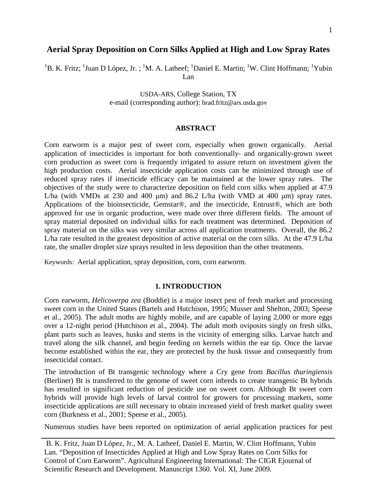# **Aerial Spray Deposition on Corn Silks Applied at High and Low Spray Rates**

<sup>1</sup>B. K. Fritz; <sup>1</sup>Juan D López, Jr. ; <sup>1</sup>M. A. Latheef; <sup>1</sup>Daniel E. Martin; <sup>1</sup>W. Clint Hoffmann; <sup>1</sup>Yubin Lan

> USDA-ARS, College Station, TX e-mail (corresponding author): brad.fritz@ars.usda.gov

#### **ABSTRACT**

Corn earworm is a major pest of sweet corn, especially when grown organically. Aerial application of insecticides is important for both conventionally- and organically-grown sweet corn production as sweet corn is frequently irrigated to assure return on investment given the high production costs. Aerial insecticide application costs can be minimized through use of reduced spray rates if insecticide efficacy can be maintained at the lower spray rates. The objectives of the study were to characterize deposition on field corn silks when applied at 47.9 L/ha (with VMDs at 230 and 400  $\mu$ m) and 86.2 L/ha (with VMD at 400  $\mu$ m) spray rates. Applications of the bioinsecticide, Gemstar®, and the insecticide, Entrust®, which are both approved for use in organic production, were made over three different fields. The amount of spray material deposited on individual silks for each treatment was determined. Deposition of spray material on the silks was very similar across all application treatments. Overall, the 86.2 L/ha rate resulted in the greatest deposition of active material on the corn silks. At the 47.9 L/ha rate, the smaller droplet size sprays resulted in less deposition than the other treatments.

Keywords: Aerial application, spray deposition, corn, corn earworm.

### **1. INTRODUCTION**

Corn earworm, *Helicoverpa zea* (Boddie) is a major insect pest of fresh market and processing sweet corn in the United States (Bartels and Hutchison, 1995; Musser and Shelton, 2003; Speese et al., 2005). The adult moths are highly mobile, and are capable of laying 2,000 or more eggs over a 12-night period (Hutchison et al., 2004). The adult moth oviposits singly on fresh silks, plant parts such as leaves, husks and stems in the vicinity of emerging silks. Larvae hatch and travel along the silk channel, and begin feeding on kernels within the ear tip. Once the larvae become established within the ear, they are protected by the husk tissue and consequently from insecticidal contact.

The introduction of Bt transgenic technology where a Cry gene from *Bacillus thuringiensis* (Berliner) Bt is transferred to the genome of sweet corn inbreds to create transgenic Bt hybrids has resulted in significant reduction of pesticide use on sweet corn. Although Bt sweet corn hybrids will provide high levels of larval control for growers for processing markets, some insecticide applications are still necessary to obtain increased yield of fresh market quality sweet corn (Burkness et al., 2001; Speese et al., 2005).

Numerous studies have been reported on optimization of aerial application practices for pest

B. K. Fritz, Juan D López, Jr., M. A. Latheef, Daniel E. Martin, W. Clint Hoffmann, Yubin Lan. "Deposition of Insecticides Applied at High and Low Spray Rates on Corn Silks for Control of Corn Earworm". Agricultural Engineering International: The CIGR Ejournal of Scientific Research and Development. Manuscript 1360. Vol. XI, June 2009.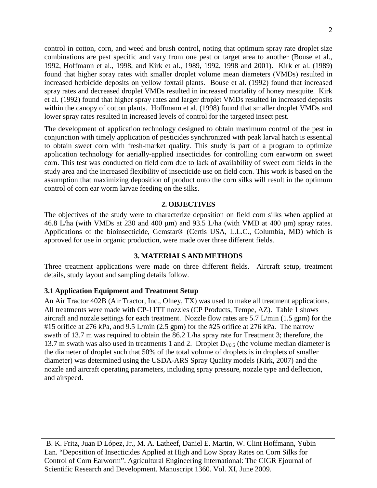control in cotton, corn, and weed and brush control, noting that optimum spray rate droplet size combinations are pest specific and vary from one pest or target area to another (Bouse et al., 1992, Hoffmann et al., 1998, and Kirk et al., 1989, 1992, 1998 and 2001). Kirk et al. (1989) found that higher spray rates with smaller droplet volume mean diameters (VMDs) resulted in increased herbicide deposits on yellow foxtail plants. Bouse et al. (1992) found that increased spray rates and decreased droplet VMDs resulted in increased mortality of honey mesquite. Kirk et al. (1992) found that higher spray rates and larger droplet VMDs resulted in increased deposits within the canopy of cotton plants. Hoffmann et al. (1998) found that smaller droplet VMDs and lower spray rates resulted in increased levels of control for the targeted insect pest.

The development of application technology designed to obtain maximum control of the pest in conjunction with timely application of pesticides synchronized with peak larval hatch is essential to obtain sweet corn with fresh-market quality. This study is part of a program to optimize application technology for aerially-applied insecticides for controlling corn earworm on sweet corn. This test was conducted on field corn due to lack of availability of sweet corn fields in the study area and the increased flexibility of insecticide use on field corn. This work is based on the assumption that maximizing deposition of product onto the corn silks will result in the optimum control of corn ear worm larvae feeding on the silks.

# **2. OBJECTIVES**

The objectives of the study were to characterize deposition on field corn silks when applied at 46.8 L/ha (with VMDs at 230 and 400 μm) and 93.5 L/ha (with VMD at 400 μm) spray rates. Applications of the bioinsecticide, Gemstar® (Certis USA, L.L.C., Columbia, MD) which is approved for use in organic production, were made over three different fields.

### **3. MATERIALS AND METHODS**

Three treatment applications were made on three different fields. Aircraft setup, treatment details, study layout and sampling details follow.

# **3.1 Application Equipment and Treatment Setup**

An Air Tractor 402B (Air Tractor, Inc., Olney, TX) was used to make all treatment applications. All treatments were made with CP-11TT nozzles (CP Products, Tempe, AZ). Table 1 shows aircraft and nozzle settings for each treatment. Nozzle flow rates are 5.7 L/min (1.5 gpm) for the #15 orifice at 276 kPa, and 9.5 L/min (2.5 gpm) for the #25 orifice at 276 kPa. The narrow swath of 13.7 m was required to obtain the 86.2 L/ha spray rate for Treatment 3; therefore, the 13.7 m swath was also used in treatments 1 and 2. Droplet  $D_{V0.5}$  (the volume median diameter is the diameter of droplet such that 50% of the total volume of droplets is in droplets of smaller diameter) was determined using the USDA-ARS Spray Quality models (Kirk, 2007) and the nozzle and aircraft operating parameters, including spray pressure, nozzle type and deflection, and airspeed.

B. K. Fritz, Juan D López, Jr., M. A. Latheef, Daniel E. Martin, W. Clint Hoffmann, Yubin Lan. "Deposition of Insecticides Applied at High and Low Spray Rates on Corn Silks for Control of Corn Earworm". Agricultural Engineering International: The CIGR Ejournal of Scientific Research and Development. Manuscript 1360. Vol. XI, June 2009.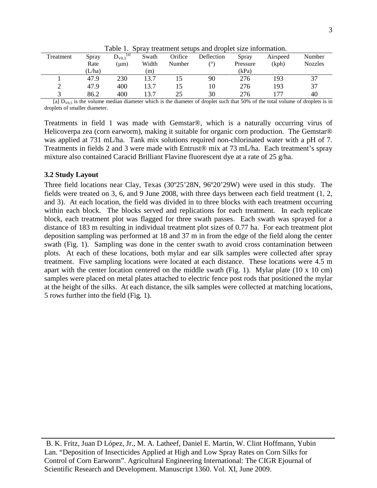| Treatment | Spray  | $D_{V0.5}^{[a]}$ | Swath | Orifice | Deflection | Spray    | Airspeed | Number         |
|-----------|--------|------------------|-------|---------|------------|----------|----------|----------------|
|           | Rate   | (um)             | Width | Number  | ٬۵۱        | Pressure | (kph)    | <b>Nozzles</b> |
|           | (L/ha) |                  | (m)   |         |            | (kPa)    |          |                |
|           | 47.9   | 230              | 13.7  |         | 90         | 276      | 193      | 37             |
| ∼         | 47.9   | 400              | 13.7  | 15      | 10         | 276      | 193      | 37             |
|           | 86.2   | 400              | 13.7  | 25      | 30         | 276      | 77،      | 40             |
|           |        |                  |       |         |            |          |          |                |

Table 1. Spray treatment setups and droplet size information.

[a]  $D_{V0.5}$  is the volume median diameter which is the diameter of droplet such that 50% of the total volume of droplets is in droplets of smaller diameter.

Treatments in field 1 was made with Gemstar®, which is a naturally occurring virus of Helicoverpa zea (corn earworm), making it suitable for organic corn production. The Gemstar® was applied at 731 mL/ha. Tank mix solutions required non-chlorinated water with a pH of 7. Treatments in fields 2 and 3 were made with Entrust® mix at 73 mL/ha. Each treatment's spray mixture also contained Caracid Brilliant Flavine fluorescent dye at a rate of 25 g/ha.

### **3.2 Study Layout**

Three field locations near Clay, Texas (30º25'28N, 96º20'29W) were used in this study. The fields were treated on 3, 6, and 9 June 2008, with three days between each field treatment (1, 2, and 3). At each location, the field was divided in to three blocks with each treatment occurring within each block. The blocks served and replications for each treatment. In each replicate block, each treatment plot was flagged for three swath passes. Each swath was sprayed for a distance of 183 m resulting in individual treatment plot sizes of 0.77 ha. For each treatment plot deposition sampling was performed at 18 and 37 m in from the edge of the field along the center swath (Fig. 1). Sampling was done in the center swath to avoid cross contamination between plots. At each of these locations, both mylar and ear silk samples were collected after spray treatment. Five sampling locations were located at each distance. These locations were 4.5 m apart with the center location centered on the middle swath (Fig. 1). Mylar plate (10 x 10 cm) samples were placed on metal plates attached to electric fence post rods that positioned the mylar at the height of the silks. At each distance, the silk samples were collected at matching locations, 5 rows further into the field (Fig. 1).

B. K. Fritz, Juan D López, Jr., M. A. Latheef, Daniel E. Martin, W. Clint Hoffmann, Yubin Lan. "Deposition of Insecticides Applied at High and Low Spray Rates on Corn Silks for Control of Corn Earworm". Agricultural Engineering International: The CIGR Ejournal of Scientific Research and Development. Manuscript 1360. Vol. XI, June 2009.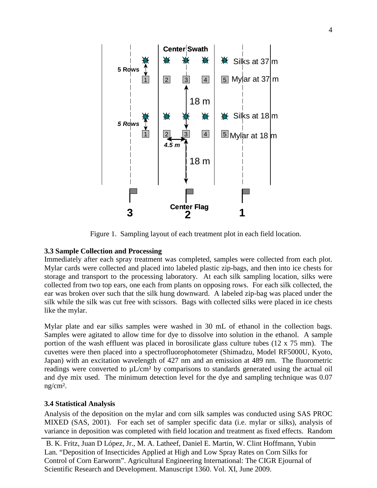

Figure 1. Sampling layout of each treatment plot in each field location.

# **3.3 Sample Collection and Processing**

Immediately after each spray treatment was completed, samples were collected from each plot. Mylar cards were collected and placed into labeled plastic zip-bags, and then into ice chests for storage and transport to the processing laboratory. At each silk sampling location, silks were collected from two top ears, one each from plants on opposing rows. For each silk collected, the ear was broken over such that the silk hung downward. A labeled zip-bag was placed under the silk while the silk was cut free with scissors. Bags with collected silks were placed in ice chests like the mylar.

Mylar plate and ear silks samples were washed in 30 mL of ethanol in the collection bags. Samples were agitated to allow time for dye to dissolve into solution in the ethanol. A sample portion of the wash effluent was placed in borosilicate glass culture tubes (12 x 75 mm). The cuvettes were then placed into a spectrofluorophotometer (Shimadzu, Model RF5000U, Kyoto, Japan) with an excitation wavelength of 427 nm and an emission at 489 nm. The fluorometric readings were converted to  $\mu L/cm^2$  by comparisons to standards generated using the actual oil and dye mix used. The minimum detection level for the dye and sampling technique was 0.07 ng/cm².

# **3.4 Statistical Analysis**

Analysis of the deposition on the mylar and corn silk samples was conducted using SAS PROC MIXED (SAS, 2001). For each set of sampler specific data (i.e. mylar or silks), analysis of variance in deposition was completed with field location and treatment as fixed effects. Random

B. K. Fritz, Juan D López, Jr., M. A. Latheef, Daniel E. Martin, W. Clint Hoffmann, Yubin Lan. "Deposition of Insecticides Applied at High and Low Spray Rates on Corn Silks for Control of Corn Earworm". Agricultural Engineering International: The CIGR Ejournal of Scientific Research and Development. Manuscript 1360. Vol. XI, June 2009.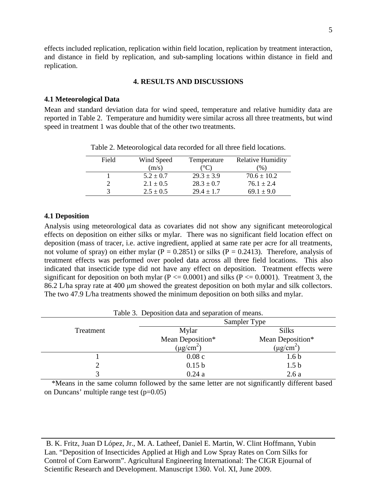effects included replication, replication within field location, replication by treatment interaction, and distance in field by replication, and sub-sampling locations within distance in field and replication.

# **4. RESULTS AND DISCUSSIONS**

# **4.1 Meteorological Data**

Mean and standard deviation data for wind speed, temperature and relative humidity data are reported in Table 2. Temperature and humidity were similar across all three treatments, but wind speed in treatment 1 was double that of the other two treatments.

| Field | Wind Speed    | Temperature    | <b>Relative Humidity</b> |
|-------|---------------|----------------|--------------------------|
|       | (m/s)         | $^{\circ}C$    | $\frac{9}{0}$            |
|       | $5.2 \pm 0.7$ | $29.3 \pm 3.9$ | $70.6 \pm 10.2$          |
|       | $2.1 \pm 0.5$ | $28.3 \pm 0.7$ | $76.1 \pm 2.4$           |
|       | $2.5 \pm 0.5$ | $29.4 \pm 1.7$ | $69.1 \pm 9.0$           |

Table 2. Meteorological data recorded for all three field locations.

# **4.1 Deposition**

Analysis using meteorological data as covariates did not show any significant meteorological effects on deposition on either silks or mylar. There was no significant field location effect on deposition (mass of tracer, i.e. active ingredient, applied at same rate per acre for all treatments, not volume of spray) on either mylar ( $P = 0.2851$ ) or silks ( $P = 0.2413$ ). Therefore, analysis of treatment effects was performed over pooled data across all three field locations. This also indicated that insecticide type did not have any effect on deposition. Treatment effects were significant for deposition on both mylar ( $P \le 0.0001$ ) and silks ( $P \le 0.0001$ ). Treatment 3, the 86.2 L/ha spray rate at 400 μm showed the greatest deposition on both mylar and silk collectors. The two 47.9 L/ha treatments showed the minimum deposition on both silks and mylar.

| Table 3. Deposition data and separation of means. |                            |                            |  |  |  |  |
|---------------------------------------------------|----------------------------|----------------------------|--|--|--|--|
|                                                   |                            | Sampler Type               |  |  |  |  |
| Treatment                                         | Mylar                      | <b>Silks</b>               |  |  |  |  |
|                                                   | Mean Deposition*           | Mean Deposition*           |  |  |  |  |
|                                                   | $(\mu$ g/cm <sup>2</sup> ) | $(\mu$ g/cm <sup>2</sup> ) |  |  |  |  |
|                                                   | 0.08c                      | 1.6 <sub>b</sub>           |  |  |  |  |
|                                                   | 0.15 <sub>b</sub>          | 1.5 <sub>b</sub>           |  |  |  |  |
|                                                   | 0.24a                      | 2.6a                       |  |  |  |  |

Table 3. Deposition data and separation of means.

\*Means in the same column followed by the same letter are not significantly different based on Duncans' multiple range test  $(p=0.05)$ 

B. K. Fritz, Juan D López, Jr., M. A. Latheef, Daniel E. Martin, W. Clint Hoffmann, Yubin Lan. "Deposition of Insecticides Applied at High and Low Spray Rates on Corn Silks for Control of Corn Earworm". Agricultural Engineering International: The CIGR Ejournal of Scientific Research and Development. Manuscript 1360. Vol. XI, June 2009.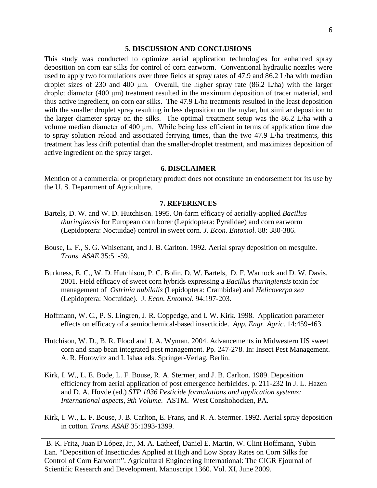#### **5. DISCUSSION AND CONCLUSIONS**

This study was conducted to optimize aerial application technologies for enhanced spray deposition on corn ear silks for control of corn earworm. Conventional hydraulic nozzles were used to apply two formulations over three fields at spray rates of 47.9 and 86.2 L/ha with median droplet sizes of 230 and 400 μm. Overall, the higher spray rate (86.2 L/ha) with the larger droplet diameter (400 μm) treatment resulted in the maximum deposition of tracer material, and thus active ingredient, on corn ear silks. The 47.9 L/ha treatments resulted in the least deposition with the smaller droplet spray resulting in less deposition on the mylar, but similar deposition to the larger diameter spray on the silks. The optimal treatment setup was the 86.2 L/ha with a volume median diameter of 400 μm. While being less efficient in terms of application time due to spray solution reload and associated ferrying times, than the two 47.9 L/ha treatments, this treatment has less drift potential than the smaller-droplet treatment, and maximizes deposition of active ingredient on the spray target.

#### **6. DISCLAIMER**

Mention of a commercial or proprietary product does not constitute an endorsement for its use by the U. S. Department of Agriculture.

#### **7. REFERENCES**

- Bartels, D. W. and W. D. Hutchison. 1995. On-farm efficacy of aerially-applied *Bacillus thuringiensis* for European corn borer (Lepidoptera: Pyralidae) and corn earworm (Lepidoptera: Noctuidae) control in sweet corn. *J. Econ. Entomol*. 88: 380-386.
- Bouse, L. F., S. G. Whisenant, and J. B. Carlton. 1992. Aerial spray deposition on mesquite. *Trans. ASAE* 35:51-59.
- Burkness, E. C., W. D. Hutchison, P. C. Bolin, D. W. Bartels, D. F. Warnock and D. W. Davis. 2001. Field efficacy of sweet corn hybrids expressing a *Bacillus thuringiensis* toxin for management of *Ostrinia nubilalis* (Lepidoptera: Crambidae) and *Helicoverpa zea* (Lepidoptera: Noctuidae). J*. Econ. Entomol*. 94:197-203.
- Hoffmann, W. C., P. S. Lingren, J. R. Coppedge, and I. W. Kirk. 1998. Application parameter effects on efficacy of a semiochemical-based insecticide. *App. Engr. Agric*. 14:459-463.
- Hutchison, W. D., B. R. Flood and J. A. Wyman. 2004. Advancements in Midwestern US sweet corn and snap bean integrated pest management. Pp. 247-278. In: Insect Pest Management. A. R. Horowitz and I. Ishaa eds. Springer-Verlag, Berlin.
- Kirk, I. W., L. E. Bode, L. F. Bouse, R. A. Stermer, and J. B. Carlton. 1989. Deposition efficiency from aerial application of post emergence herbicides. p. 211-232 In J. L. Hazen and D. A. Hovde (ed.) *STP 1036 Pesticide formulations and application systems: International aspects, 9th Volume*. ASTM. West Conshohocken, PA.
- Kirk, I. W., L. F. Bouse, J. B. Carlton, E. Frans, and R. A. Stermer. 1992. Aerial spray deposition in cotton. *Trans. ASAE* 35:1393-1399.

B. K. Fritz, Juan D López, Jr., M. A. Latheef, Daniel E. Martin, W. Clint Hoffmann, Yubin Lan. "Deposition of Insecticides Applied at High and Low Spray Rates on Corn Silks for Control of Corn Earworm". Agricultural Engineering International: The CIGR Ejournal of Scientific Research and Development. Manuscript 1360. Vol. XI, June 2009.